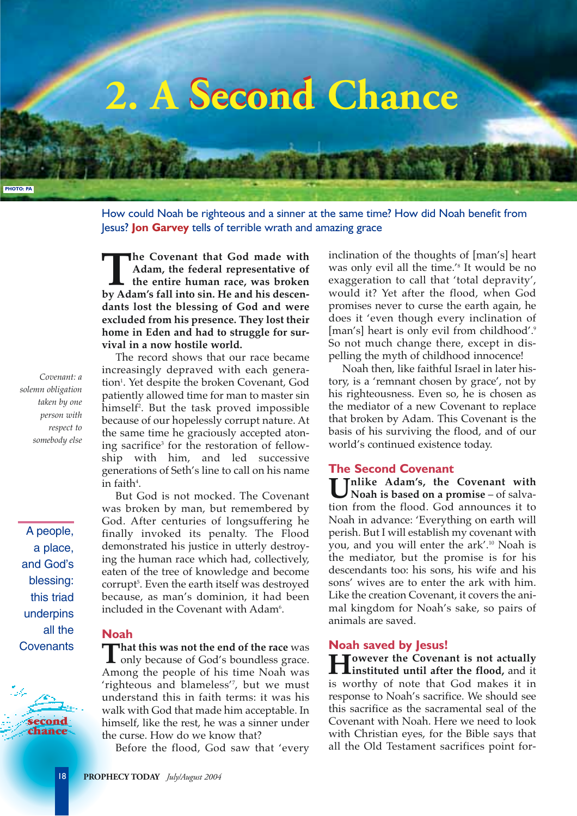

How could Noah be righteous and a sinner at the same time? How did Noah benefit from Jesus? **Jon Garvey** tells of terrible wrath and amazing grace

**The Covenant that God made with Adam, the federal representative of the entire human race, was broken by Adam's fall into sin. He and his descen-Adam, the federal representative of the entire human race, was broken dants lost the blessing of God and were excluded from his presence. They lost their home in Eden and had to struggle for survival in a now hostile world.** 

The record shows that our race became increasingly depraved with each generation<sup>1</sup>. Yet despite the broken Covenant*,* God patiently allowed time for man to master sin himself2 . But the task proved impossible because of our hopelessly corrupt nature. At the same time he graciously accepted atoning sacrifice<sup>3</sup> for the restoration of fellowship with him, and led successive generations of Seth's line to call on his name  $\mathop{\mathrm{in}}$  faith<sup>4</sup>.

But God is not mocked. The Covenant was broken by man, but remembered by God. After centuries of longsuffering he finally invoked its penalty. The Flood demonstrated his justice in utterly destroying the human race which had, collectively, eaten of the tree of knowledge and become corrupt5 . Even the earth itself was destroyed because, as man's dominion, it had been included in the Covenant with  $\rm Adam^{6}.$ 

# **Noah**

**That this was not the end of the race** was<br>only because of God's boundless grace. Among the people of his time Noah was 'righteous and blameless'7 , but we must understand this in faith terms: it was his walk with God that made him acceptable. In himself, like the rest, he was a sinner under the curse. How do we know that?

Before the flood, God saw that 'every

inclination of the thoughts of [man's] heart was only evil all the time.'8 It would be no exaggeration to call that 'total depravity', would it? Yet after the flood, when God promises never to curse the earth again, he does it 'even though every inclination of [man's] heart is only evil from childhood'.<sup>9</sup> So not much change there, except in dispelling the myth of childhood innocence!

Noah then, like faithful Israel in later history, is a 'remnant chosen by grace', not by his righteousness. Even so, he is chosen as the mediator of a new Covenant to replace that broken by Adam. This Covenant is the basis of his surviving the flood, and of our world's continued existence today.

#### **The Second Covenant**

**Unlike Adam's, the Covenant with Noah is based on a promise** – of salvation from the flood. God announces it to Noah in advance: 'Everything on earth will perish. But I will establish my covenant with you, and you will enter the ark'.10 Noah is the mediator, but the promise is for his descendants too: his sons, his wife and his sons' wives are to enter the ark with him. Like the creation Covenant, it covers the animal kingdom for Noah's sake, so pairs of animals are saved.

### **Noah saved by Jesus!**

**However the Covenant is not actually instituted until after the flood,** and it is worthy of note that God makes it in response to Noah's sacrifice. We should see this sacrifice as the sacramental seal of the Covenant with Noah. Here we need to look with Christian eyes, for the Bible says that all the Old Testament sacrifices point for-

*Covenant: a solemn obligation taken by one person with respect to somebody else*

A people, a place, and God's blessing: this triad underpins all the **Covenants**